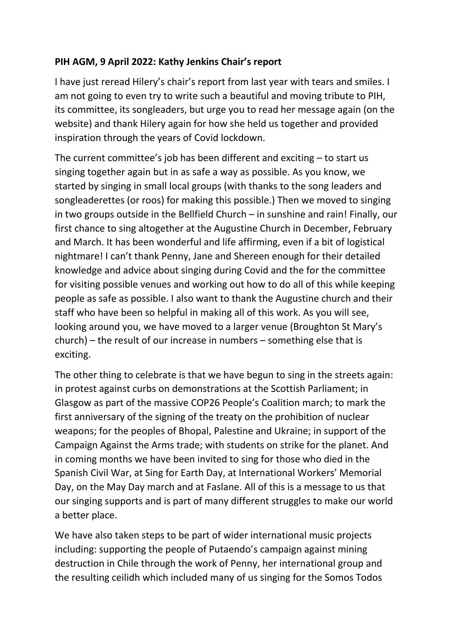## **PIH AGM, 9 April 2022: Kathy Jenkins Chair's report**

I have just reread Hilery's chair's report from last year with tears and smiles. I am not going to even try to write such a beautiful and moving tribute to PIH, its committee, its songleaders, but urge you to read her message again (on the website) and thank Hilery again for how she held us together and provided inspiration through the years of Covid lockdown.

The current committee's job has been different and exciting – to start us singing together again but in as safe a way as possible. As you know, we started by singing in small local groups (with thanks to the song leaders and songleaderettes (or roos) for making this possible.) Then we moved to singing in two groups outside in the Bellfield Church – in sunshine and rain! Finally, our first chance to sing altogether at the Augustine Church in December, February and March. It has been wonderful and life affirming, even if a bit of logistical nightmare! I can't thank Penny, Jane and Shereen enough for their detailed knowledge and advice about singing during Covid and the for the committee for visiting possible venues and working out how to do all of this while keeping people as safe as possible. I also want to thank the Augustine church and their staff who have been so helpful in making all of this work. As you will see, looking around you, we have moved to a larger venue (Broughton St Mary's church) – the result of our increase in numbers – something else that is exciting.

The other thing to celebrate is that we have begun to sing in the streets again: in protest against curbs on demonstrations at the Scottish Parliament; in Glasgow as part of the massive COP26 People's Coalition march; to mark the first anniversary of the signing of the treaty on the prohibition of nuclear weapons; for the peoples of Bhopal, Palestine and Ukraine; in support of the Campaign Against the Arms trade; with students on strike for the planet. And in coming months we have been invited to sing for those who died in the Spanish Civil War, at Sing for Earth Day, at International Workers' Memorial Day, on the May Day march and at Faslane. All of this is a message to us that our singing supports and is part of many different struggles to make our world a better place.

We have also taken steps to be part of wider international music projects including: supporting the people of Putaendo's campaign against mining destruction in Chile through the work of Penny, her international group and the resulting ceilidh which included many of us singing for the Somos Todos